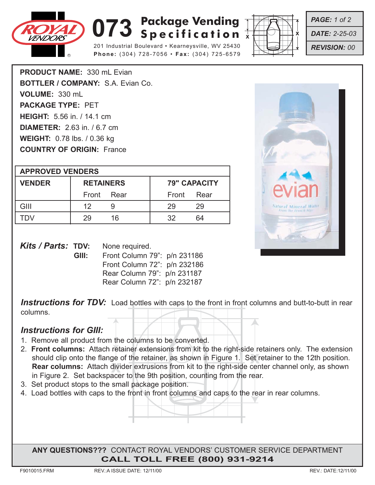

## **073** Specification  $\overline{X}$ **Specification**

201 Industrial Boulevard • Kearneysville, WV 25430 **Phone:** (304) 728-7056 • **Fax:** (304) 725-6579



*PAGE: 1 of 2*

*DATE: 2-25-03*

*REVISION: 00*

**PRODUCT NAME:** 330 mL Evian **BOTTLER / COMPANY:** S.A. Evian Co. **VOLUME:** 330 mL **PACKAGE TYPE:** PET **HEIGHT:** 5.56 in. / 14.1 cm **DIAMETER:** 2.63 in. / 6.7 cm **WEIGHT:** 0.78 lbs. / 0.36 kg **COUNTRY OF ORIGIN:** France

| <b>APPROVED VENDERS</b> |                  |    |                     |      |  |  |
|-------------------------|------------------|----|---------------------|------|--|--|
| <b>VENDER</b>           | <b>RETAINERS</b> |    | <b>79" CAPACITY</b> |      |  |  |
|                         | Front Rear       |    | Front               | Rear |  |  |
| GIII                    | 12               |    | 29                  | 29   |  |  |
|                         | 29               | 16 | 32                  | 64   |  |  |



| <i>Kits / Parts: TDV:</i> |       | None required.               |  |  |
|---------------------------|-------|------------------------------|--|--|
|                           | GIII: | Front Column 79": p/n 231186 |  |  |
|                           |       | Front Column 72": p/n 232186 |  |  |
|                           |       | Rear Column 79": p/n 231187  |  |  |
|                           |       | Rear Column 72": p/n 232187  |  |  |

**Instructions for TDV:** Load bottles with caps to the front in front columns and butt-to-butt in rear columns.

## *Instructions for GIII:*

- 1. Remove all product from the columns to be converted.
- should clip onto the flange of the retainer, as shown in Figure 1. Set retainer to the 12th position.<br>**Rear columns:** Attach divider extrusions from kit to the right-side center channel only, as shown 2. **Front columns:** Attach retainer extensions from kit to the right-side retainers only. The extension **Rear columns:** Attach divider extrusions from kit to the right-side center channel only, as shown in Figure 2. Set backspacer to the 9th position, counting from the rear.
- 3. Set product stops to the small package position.
- 4. Load bottles with caps to the front in front columns and caps to the rear in rear columns.

**ANY QUESTIONS???** CONTACT ROYAL VENDORS' CUSTOMER SERVICE DEPARTMENT **CALL TOLL FREE (800) 931-9214**